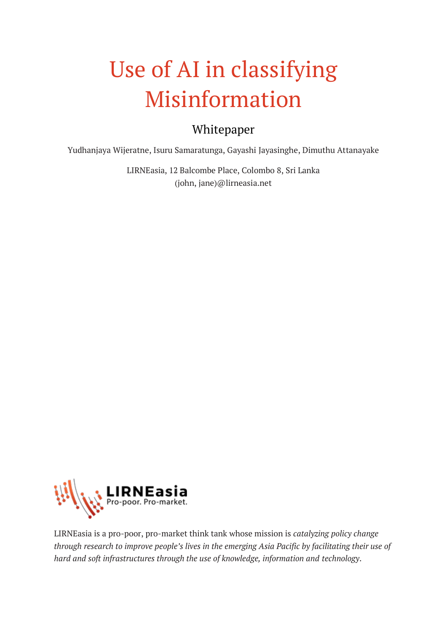# Use of AI in classifying Misinformation

# Whitepaper

Yudhanjaya Wijeratne, Isuru Samaratunga, Gayashi Jayasinghe, Dimuthu Attanayake

LIRNEasia, 12 Balcombe Place, Colombo 8, Sri Lanka (john, jane)@lirneasia.net



LIRNEasia is a pro-poor, pro-market think tank whose mission is *catalyzing policy change through research to improve people's lives in the emerging Asia Pacific by facilitating their use of hard and soft infrastructures through the use of knowledge, information and technology*.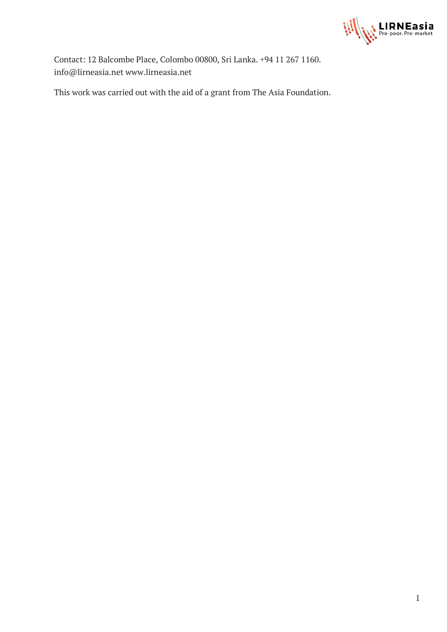

Contact: 12 Balcombe Place, Colombo 00800, Sri Lanka. +94 11 267 1160. info@lirneasia.net www.lirneasia.net

This work was carried out with the aid of a grant from The Asia Foundation.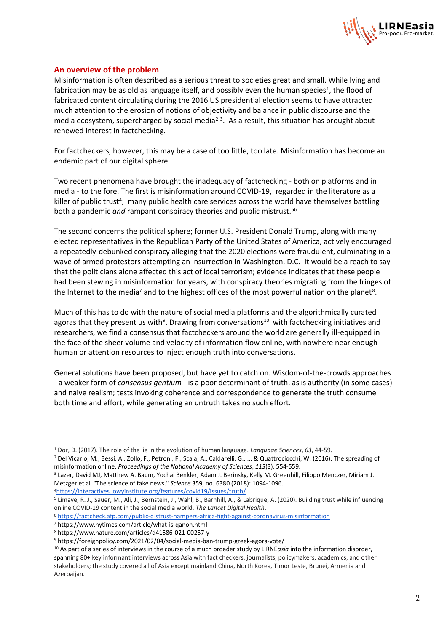

#### **An overview of the problem**

Misinformation is often described as a serious threat to societies great and small. While lying and fabrication may be as old as language itself, and possibly even the human species<sup>1</sup>, the flood of fabricated content circulating during the 2016 US presidential election seems to have attracted much attention to the erosion of notions of objectivity and balance in public discourse and the media ecosystem, supercharged by social media<sup>23</sup>. As a result, this situation has brought about renewed interest in factchecking.

For factcheckers, however, this may be a case of too little, too late. Misinformation has become an endemic part of our digital sphere.

Two recent phenomena have brought the inadequacy of factchecking - both on platforms and in media - to the fore. The first is misinformation around COVID-19, regarded in the literature as a killer of public trust<sup>4</sup>; many public health care services across the world have themselves battling both a pandemic *and* rampant conspiracy theories and public mistrust.<sup>56</sup>

The second concerns the political sphere; former U.S. President Donald Trump, along with many elected representatives in the Republican Party of the United States of America, actively encouraged a repeatedly-debunked conspiracy alleging that the 2020 elections were fraudulent, culminating in a wave of armed protestors attempting an insurrection in Washington, D.C. It would be a reach to say that the politicians alone affected this act of local terrorism; evidence indicates that these people had been stewing in misinformation for years, with conspiracy theories migrating from the fringes of the Internet to the media<sup>7</sup> and to the highest offices of the most powerful nation on the planet<sup>8</sup>.

Much of this has to do with the nature of social media platforms and the algorithmically curated agoras that they present us with<sup>9</sup>. Drawing from conversations<sup>10</sup> with factchecking initiatives and researchers, we find a consensus that factcheckers around the world are generally ill-equipped in the face of the sheer volume and velocity of information flow online, with nowhere near enough human or attention resources to inject enough truth into conversations.

General solutions have been proposed, but have yet to catch on. Wisdom-of-the-crowds approaches - a weaker form of *consensus gentium* - is a poor determinant of truth, as is authority (in some cases) and naive realism; tests invoking coherence and correspondence to generate the truth consume both time and effort, while generating an untruth takes no such effort.

<sup>1</sup> Dor, D. (2017). The role of the lie in the evolution of human language. *Language Sciences*, *63*, 44-59. <sup>2</sup> Del Vicario, M., Bessi, A., Zollo, F., Petroni, F., Scala, A., Caldarelli, G., ... & Quattrociocchi, W. (2016). The spreading of misinformation online. *Proceedings of the National Academy of Sciences*, *113*(3), 554-559.

<sup>&</sup>lt;sup>3</sup> Lazer, David MJ, Matthew A. Baum, Yochai Benkler, Adam J. Berinsky, Kelly M. Greenhill, Filippo Menczer, Miriam J. Metzger et al. "The science of fake news." *Science* 359, no. 6380 (2018): 1094-1096. <sup>4</sup><https://interactives.lowyinstitute.org/features/covid19/issues/truth/>

<sup>5</sup> Limaye, R. J., Sauer, M., Ali, J., Bernstein, J., Wahl, B., Barnhill, A., & Labrique, A. (2020). Building trust while influencing online COVID-19 content in the social media world. *The Lancet Digital Health*.

<sup>6</sup> <https://factcheck.afp.com/public-distrust-hampers-africa-fight-against-coronavirus-misinformation>

<sup>7</sup> https://www.nytimes.com/article/what-is-qanon.html

<sup>8</sup> https://www.nature.com/articles/d41586-021-00257-y

<sup>9</sup> https://foreignpolicy.com/2021/02/04/social-media-ban-trump-greek-agora-vote/

<sup>10</sup> As part of a series of interviews in the course of a much broader study by LIRNE*asia* into the information disorder, spanning 80+ key informant interviews across Asia with fact checkers, journalists, policymakers, academics, and other stakeholders; the study covered all of Asia except mainland China, North Korea, Timor Leste, Brunei, Armenia and Azerbaijan.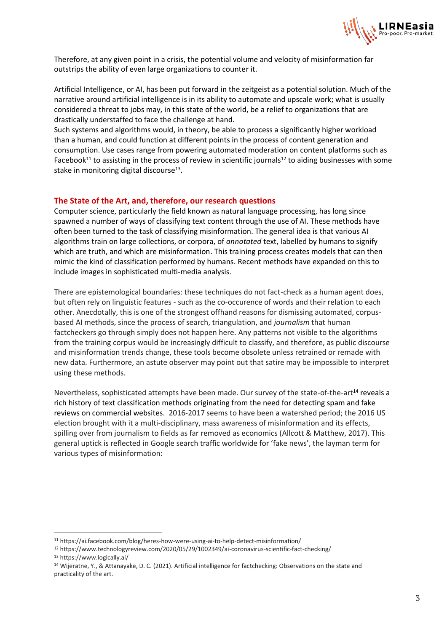

Therefore, at any given point in a crisis, the potential volume and velocity of misinformation far outstrips the ability of even large organizations to counter it.

Artificial Intelligence, or AI, has been put forward in the zeitgeist as a potential solution. Much of the narrative around artificial intelligence is in its ability to automate and upscale work; what is usually considered a threat to jobs may, in this state of the world, be a relief to organizations that are drastically understaffed to face the challenge at hand.

Such systems and algorithms would, in theory, be able to process a significantly higher workload than a human, and could function at different points in the process of content generation and consumption. Use cases range from powering automated moderation on content platforms such as Facebook<sup>11</sup> to assisting in the process of review in scientific journals<sup>12</sup> to aiding businesses with some stake in monitoring digital discourse<sup>13</sup>.

#### **The State of the Art, and, therefore, our research questions**

Computer science, particularly the field known as natural language processing, has long since spawned a number of ways of classifying text content through the use of AI. These methods have often been turned to the task of classifying misinformation. The general idea is that various AI algorithms train on large collections, or corpora, of *annotated* text, labelled by humans to signify which are truth, and which are misinformation. This training process creates models that can then mimic the kind of classification performed by humans. Recent methods have expanded on this to include images in sophisticated multi-media analysis.

There are epistemological boundaries: these techniques do not fact-check as a human agent does, but often rely on linguistic features - such as the co-occurence of words and their relation to each other. Anecdotally, this is one of the strongest offhand reasons for dismissing automated, corpusbased AI methods, since the process of search, triangulation, and *journalism* that human factcheckers go through simply does not happen here. Any patterns not visible to the algorithms from the training corpus would be increasingly difficult to classify, and therefore, as public discourse and misinformation trends change, these tools become obsolete unless retrained or remade with new data. Furthermore, an astute observer may point out that satire may be impossible to interpret using these methods.

Nevertheless, sophisticated attempts have been made. Our survey of the state-of-the-art<sup>14</sup> reveals a rich history of text classification methods originating from the need for detecting spam and fake reviews on commercial websites. 2016-2017 seems to have been a watershed period; the 2016 US election brought with it a multi-disciplinary, mass awareness of misinformation and its effects, spilling over from journalism to fields as far removed as economics (Allcott & Matthew, 2017). This general uptick is reflected in Google search traffic worldwide for 'fake news', the layman term for various types of misinformation:

<sup>11</sup> https://ai.facebook.com/blog/heres-how-were-using-ai-to-help-detect-misinformation/

<sup>12</sup> https://www.technologyreview.com/2020/05/29/1002349/ai-coronavirus-scientific-fact-checking/ <sup>13</sup> https://www.logically.ai/

<sup>14</sup> Wijeratne, Y., & Attanayake, D. C. (2021). Artificial intelligence for factchecking: Observations on the state and practicality of the art.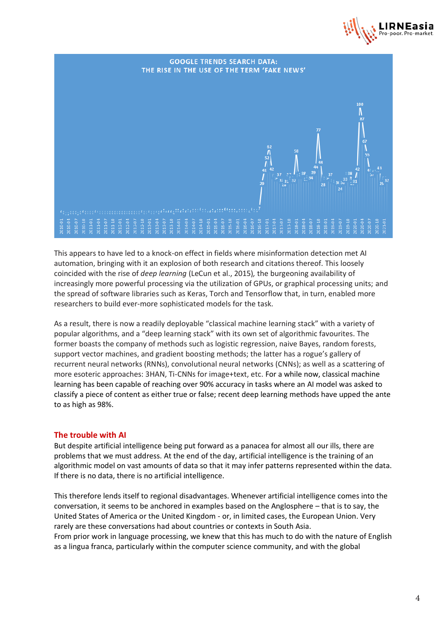



This appears to have led to a knock-on effect in fields where misinformation detection met AI automation, bringing with it an explosion of both research and citations thereof. This loosely coincided with the rise of *deep learning* (LeCun et al., 2015)*,* the burgeoning availability of increasingly more powerful processing via the utilization of GPUs, or graphical processing units; and the spread of software libraries such as Keras, Torch and Tensorflow that, in turn, enabled more researchers to build ever-more sophisticated models for the task.

As a result, there is now a readily deployable "classical machine learning stack" with a variety of popular algorithms, and a "deep learning stack" with its own set of algorithmic favourites. The former boasts the company of methods such as logistic regression, naive Bayes, random forests, support vector machines, and gradient boosting methods; the latter has a rogue's gallery of recurrent neural networks (RNNs), convolutional neural networks (CNNs); as well as a scattering of more esoteric approaches: 3HAN, Ti-CNNs for image+text, etc. For a while now, classical machine learning has been capable of reaching over 90% accuracy in tasks where an AI model was asked to classify a piece of content as either true or false; recent deep learning methods have upped the ante to as high as 98%.

#### **The trouble with AI**

But despite artificial intelligence being put forward as a panacea for almost all our ills, there are problems that we must address. At the end of the day, artificial intelligence is the training of an algorithmic model on vast amounts of data so that it may infer patterns represented within the data. If there is no data, there is no artificial intelligence.

This therefore lends itself to regional disadvantages. Whenever artificial intelligence comes into the conversation, it seems to be anchored in examples based on the Anglosphere – that is to say, the United States of America or the United Kingdom - or, in limited cases, the European Union. Very rarely are these conversations had about countries or contexts in South Asia. From prior work in language processing, we knew that this has much to do with the nature of English as a lingua franca, particularly within the computer science community, and with the global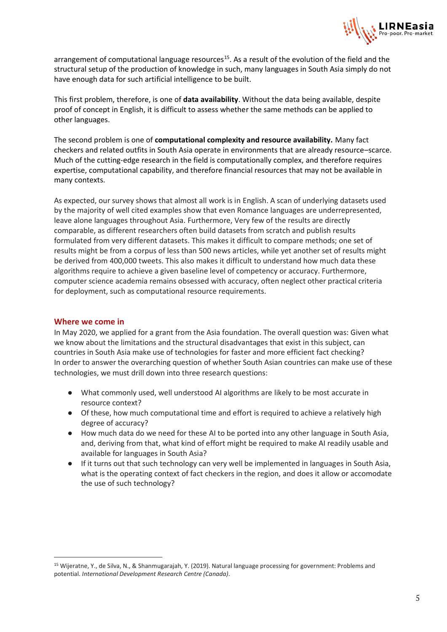

arrangement of computational language resources<sup>15</sup>. As a result of the evolution of the field and the structural setup of the production of knowledge in such, many languages in South Asia simply do not have enough data for such artificial intelligence to be built.

This first problem, therefore, is one of **data availability**. Without the data being available, despite proof of concept in English, it is difficult to assess whether the same methods can be applied to other languages.

The second problem is one of **computational complexity and resource availability.** Many fact checkers and related outfits in South Asia operate in environments that are already resource–scarce. Much of the cutting-edge research in the field is computationally complex, and therefore requires expertise, computational capability, and therefore financial resources that may not be available in many contexts.

As expected, our survey shows that almost all work is in English. A scan of underlying datasets used by the majority of well cited examples show that even Romance languages are underrepresented, leave alone languages throughout Asia. Furthermore, Very few of the results are directly comparable, as different researchers often build datasets from scratch and publish results formulated from very different datasets. This makes it difficult to compare methods; one set of results might be from a corpus of less than 500 news articles, while yet another set of results might be derived from 400,000 tweets. This also makes it difficult to understand how much data these algorithms require to achieve a given baseline level of competency or accuracy. Furthermore, computer science academia remains obsessed with accuracy, often neglect other practical criteria for deployment, such as computational resource requirements.

#### **Where we come in**

In May 2020, we applied for a grant from the Asia foundation. The overall question was: Given what we know about the limitations and the structural disadvantages that exist in this subject, can countries in South Asia make use of technologies for faster and more efficient fact checking? In order to answer the overarching question of whether South Asian countries can make use of these technologies, we must drill down into three research questions:

- What commonly used, well understood AI algorithms are likely to be most accurate in resource context?
- Of these, how much computational time and effort is required to achieve a relatively high degree of accuracy?
- How much data do we need for these AI to be ported into any other language in South Asia, and, deriving from that, what kind of effort might be required to make AI readily usable and available for languages in South Asia?
- If it turns out that such technology can very well be implemented in languages in South Asia, what is the operating context of fact checkers in the region, and does it allow or accomodate the use of such technology?

<sup>15</sup> Wijeratne, Y., de Silva, N., & Shanmugarajah, Y. (2019). Natural language processing for government: Problems and potential. *International Development Research Centre (Canada)*.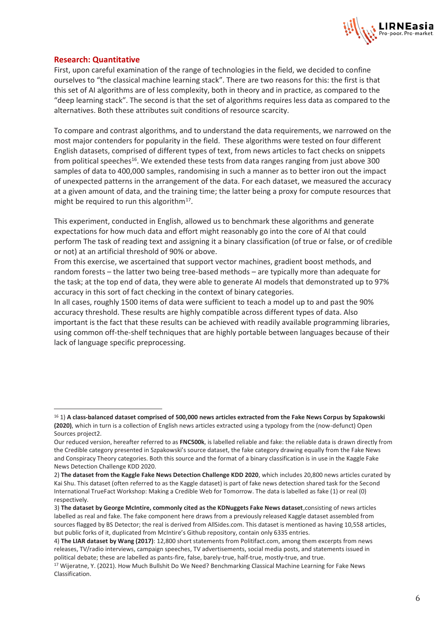

#### **Research: Quantitative**

First, upon careful examination of the range of technologies in the field, we decided to confine ourselves to "the classical machine learning stack". There are two reasons for this: the first is that this set of AI algorithms are of less complexity, both in theory and in practice, as compared to the "deep learning stack". The second is that the set of algorithms requires less data as compared to the alternatives. Both these attributes suit conditions of resource scarcity.

To compare and contrast algorithms, and to understand the data requirements, we narrowed on the most major contenders for popularity in the field. These algorithms were tested on four different English datasets, comprised of different types of text, from news articles to fact checks on snippets from political speeches<sup>16</sup>. We extended these tests from data ranges ranging from just above 300 samples of data to 400,000 samples, randomising in such a manner as to better iron out the impact of unexpected patterns in the arrangement of the data. For each dataset, we measured the accuracy at a given amount of data, and the training time; the latter being a proxy for compute resources that might be required to run this algorithm $^{17}$ .

This experiment, conducted in English, allowed us to benchmark these algorithms and generate expectations for how much data and effort might reasonably go into the core of AI that could perform The task of reading text and assigning it a binary classification (of true or false, or of credible or not) at an artificial threshold of 90% or above.

From this exercise, we ascertained that support vector machines, gradient boost methods, and random forests – the latter two being tree-based methods – are typically more than adequate for the task; at the top end of data, they were able to generate AI models that demonstrated up to 97% accuracy in this sort of fact checking in the context of binary categories.

In all cases, roughly 1500 items of data were sufficient to teach a model up to and past the 90% accuracy threshold. These results are highly compatible across different types of data. Also important is the fact that these results can be achieved with readily available programming libraries, using common off-the-shelf techniques that are highly portable between languages because of their lack of language specific preprocessing.

<sup>16</sup> 1) **A class-balanced dataset comprised of 500,000 news articles extracted from the Fake News Corpus by Szpakowski (2020)**, which in turn is a collection of English news articles extracted using a typology from the (now-defunct) Open Sources project2.

Our reduced version, hereafter referred to as **FNC500k**, is labelled reliable and fake: the reliable data is drawn directly from the Credible category presented in Szpakowski's source dataset, the fake category drawing equally from the Fake News and Conspiracy Theory categories. Both this source and the format of a binary classification is in use in the Kaggle Fake News Detection Challenge KDD 2020.

<sup>2)</sup> **The dataset from the Kaggle Fake News Detection Challenge KDD 2020**, which includes 20,800 news articles curated by Kai Shu. This dataset (often referred to as the Kaggle dataset) is part of fake news detection shared task for the Second International TrueFact Workshop: Making a Credible Web for Tomorrow. The data is labelled as fake (1) or real (0) respectively.

<sup>3)</sup> **The dataset by George McIntire, commonly cited as the KDNuggets Fake News dataset**,consisting of news articles labelled as real and fake. The fake component here draws from a previously released Kaggle dataset assembled from sources flagged by BS Detector; the real is derived from AllSides.com. This dataset is mentioned as having 10,558 articles, but public forks of it, duplicated from McIntire's Github repository, contain only 6335 entries.

<sup>4)</sup> **The LIAR dataset by Wang (2017)**: 12,800 short statements from Politifact.com, among them excerpts from news releases, TV/radio interviews, campaign speeches, TV advertisements, social media posts, and statements issued in political debate; these are labelled as pants-fire, false, barely-true, half-true, mostly-true, and true.

<sup>17</sup> Wijeratne, Y. (2021). How Much Bullshit Do We Need? Benchmarking Classical Machine Learning for Fake News Classification.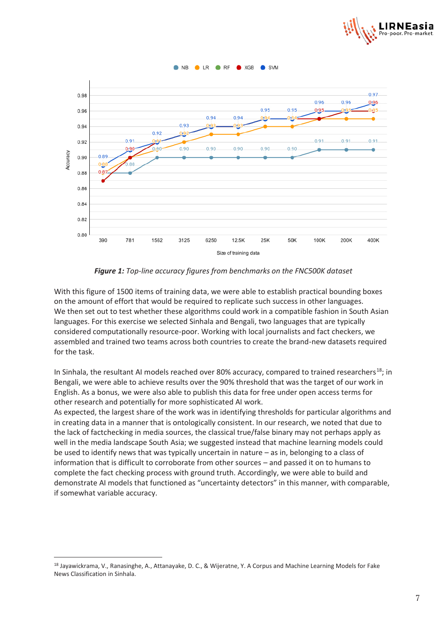



*Figure 1: Top-line accuracy figures from benchmarks on the FNC500K dataset*

With this figure of 1500 items of training data, we were able to establish practical bounding boxes on the amount of effort that would be required to replicate such success in other languages. We then set out to test whether these algorithms could work in a compatible fashion in South Asian languages. For this exercise we selected Sinhala and Bengali, two languages that are typically considered computationally resource-poor. Working with local journalists and fact checkers, we assembled and trained two teams across both countries to create the brand-new datasets required for the task.

In Sinhala, the resultant AI models reached over 80% accuracy, compared to trained researchers<sup>18</sup>; in Bengali, we were able to achieve results over the 90% threshold that was the target of our work in English. As a bonus, we were also able to publish this data for free under open access terms for other research and potentially for more sophisticated AI work.

As expected, the largest share of the work was in identifying thresholds for particular algorithms and in creating data in a manner that is ontologically consistent. In our research, we noted that due to the lack of factchecking in media sources, the classical true/false binary may not perhaps apply as well in the media landscape South Asia; we suggested instead that machine learning models could be used to identify news that was typically uncertain in nature – as in, belonging to a class of information that is difficult to corroborate from other sources – and passed it on to humans to complete the fact checking process with ground truth. Accordingly, we were able to build and demonstrate AI models that functioned as "uncertainty detectors" in this manner, with comparable, if somewhat variable accuracy.

<sup>18</sup> Jayawickrama, V., Ranasinghe, A., Attanayake, D. C., & Wijeratne, Y. A Corpus and Machine Learning Models for Fake News Classification in Sinhala.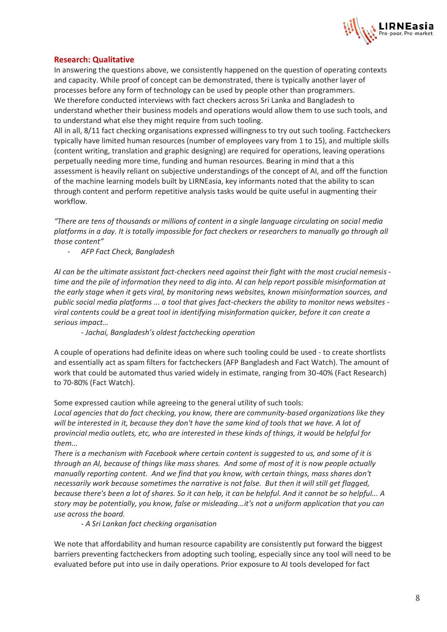

### **Research: Qualitative**

In answering the questions above, we consistently happened on the question of operating contexts and capacity. While proof of concept can be demonstrated, there is typically another layer of processes before any form of technology can be used by people other than programmers. We therefore conducted interviews with fact checkers across Sri Lanka and Bangladesh to understand whether their business models and operations would allow them to use such tools, and to understand what else they might require from such tooling.

All in all, 8/11 fact checking organisations expressed willingness to try out such tooling. Factcheckers typically have limited human resources (number of employees vary from 1 to 15), and multiple skills (content writing, translation and graphic designing) are required for operations, leaving operations perpetually needing more time, funding and human resources. Bearing in mind that a this assessment is heavily reliant on subjective understandings of the concept of AI, and off the function of the machine learning models built by LIRNEasia, key informants noted that the ability to scan through content and perform repetitive analysis tasks would be quite useful in augmenting their workflow.

*"There are tens of thousands or millions of content in a single language circulating on social media platforms in a day. It is totally impossible for fact checkers or researchers to manually go through all those content"*

- *AFP Fact Check, Bangladesh*

*AI can be the ultimate assistant fact-checkers need against their fight with the most crucial nemesis time and the pile of information they need to dig into. AI can help report possible misinformation at the early stage when it gets viral, by monitoring news websites, known misinformation sources, and public social media platforms ... a tool that gives fact-checkers the ability to monitor news websites viral contents could be a great tool in identifying misinformation quicker, before it can create a serious impact…*

*- Jachai, Bangladesh's oldest factchecking operation*

A couple of operations had definite ideas on where such tooling could be used - to create shortlists and essentially act as spam filters for factcheckers (AFP Bangladesh and Fact Watch). The amount of work that could be automated thus varied widely in estimate, ranging from 30-40% (Fact Research) to 70-80% (Fact Watch).

Some expressed caution while agreeing to the general utility of such tools:

*Local agencies that do fact checking, you know, there are community-based organizations like they will be interested in it, because they don't have the same kind of tools that we have. A lot of provincial media outlets, etc, who are interested in these kinds of things, it would be helpful for them...*

*There is a mechanism with Facebook where certain content is suggested to us, and some of it is through an AI, because of things like mass shares. And some of most of it is now people actually manually reporting content. And we find that you know, with certain things, mass shares don't necessarily work because sometimes the narrative is not false. But then it will still get flagged, because there's been a lot of shares. So it can help, it can be helpful. And it cannot be so helpful... A story may be potentially, you know, false or misleading...it's not a uniform application that you can use across the board.* 

*- A Sri Lankan fact checking organisation*

We note that affordability and human resource capability are consistently put forward the biggest barriers preventing factcheckers from adopting such tooling, especially since any tool will need to be evaluated before put into use in daily operations. Prior exposure to AI tools developed for fact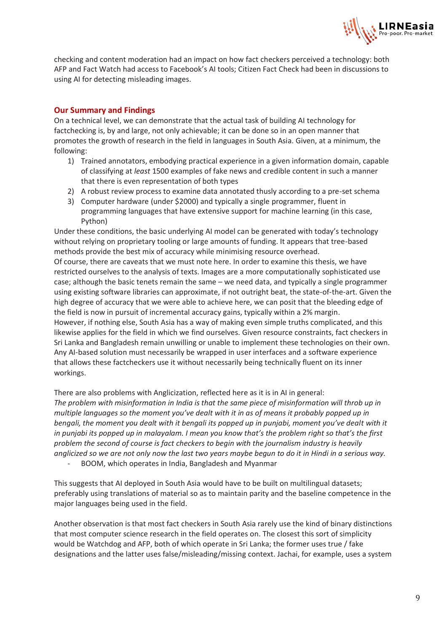

checking and content moderation had an impact on how fact checkers perceived a technology: both AFP and Fact Watch had access to Facebook's AI tools; Citizen Fact Check had been in discussions to using AI for detecting misleading images.

## **Our Summary and Findings**

On a technical level, we can demonstrate that the actual task of building AI technology for factchecking is, by and large, not only achievable; it can be done so in an open manner that promotes the growth of research in the field in languages in South Asia. Given, at a minimum, the following:

- 1) Trained annotators, embodying practical experience in a given information domain, capable of classifying at *least* 1500 examples of fake news and credible content in such a manner that there is even representation of both types
- 2) A robust review process to examine data annotated thusly according to a pre-set schema
- 3) Computer hardware (under \$2000) and typically a single programmer, fluent in programming languages that have extensive support for machine learning (in this case, Python)

Under these conditions, the basic underlying AI model can be generated with today's technology without relying on proprietary tooling or large amounts of funding. It appears that tree-based methods provide the best mix of accuracy while minimising resource overhead.

Of course, there are caveats that we must note here. In order to examine this thesis, we have restricted ourselves to the analysis of texts. Images are a more computationally sophisticated use case; although the basic tenets remain the same – we need data, and typically a single programmer using existing software libraries can approximate, if not outright beat, the state-of-the-art. Given the high degree of accuracy that we were able to achieve here, we can posit that the bleeding edge of the field is now in pursuit of incremental accuracy gains, typically within a 2% margin.

However, if nothing else, South Asia has a way of making even simple truths complicated, and this likewise applies for the field in which we find ourselves. Given resource constraints, fact checkers in Sri Lanka and Bangladesh remain unwilling or unable to implement these technologies on their own. Any AI-based solution must necessarily be wrapped in user interfaces and a software experience that allows these factcheckers use it without necessarily being technically fluent on its inner workings.

There are also problems with Anglicization, reflected here as it is in AI in general: *The problem with misinformation in India is that the same piece of misinformation will throb up in multiple languages so the moment you've dealt with it in as of means it probably popped up in bengali, the moment you dealt with it bengali its popped up in punjabi, moment you've dealt with it in punjabi its popped up in malayalam. I mean you know that's the problem right so that's the first problem the second of course is fact checkers to begin with the journalism industry is heavily anglicized so we are not only now the last two years maybe begun to do it in Hindi in a serious way.* 

- BOOM, which operates in India, Bangladesh and Myanmar

This suggests that AI deployed in South Asia would have to be built on multilingual datasets; preferably using translations of material so as to maintain parity and the baseline competence in the major languages being used in the field.

Another observation is that most fact checkers in South Asia rarely use the kind of binary distinctions that most computer science research in the field operates on. The closest this sort of simplicity would be Watchdog and AFP, both of which operate in Sri Lanka; the former uses true / fake designations and the latter uses false/misleading/missing context. Jachai, for example, uses a system